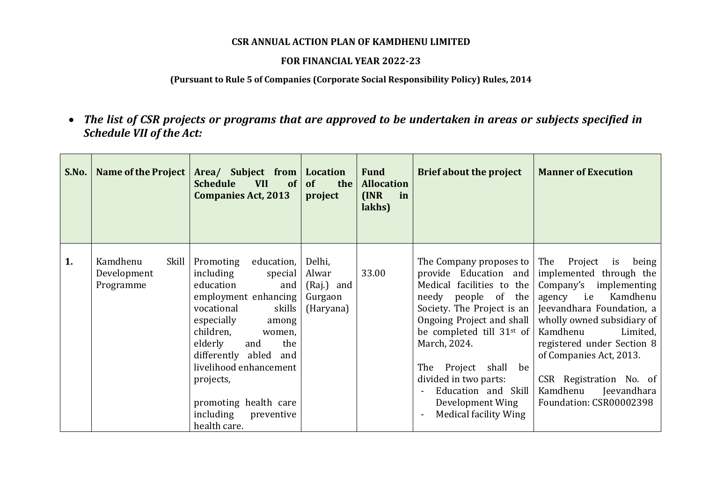### **CSR ANNUAL ACTION PLAN OF KAMDHENU LIMITED**

#### **FOR FINANCIAL YEAR 2022-23**

### **(Pursuant to Rule 5 of Companies (Corporate Social Responsibility Policy) Rules, 2014**

 *The list of CSR projects or programs that are approved to be undertaken in areas or subjects specified in Schedule VII of the Act:*

| S.No. | <b>Name of the Project</b>                    | Area/ Subject from Location<br><b>Schedule</b><br><b>VII</b><br>of<br><b>Companies Act, 2013</b>                                                                                                                                                                                                                                  | of<br>the  <br>project                                | <b>Fund</b><br><b>Allocation</b><br>I/NR<br>in<br>lakhs) | <b>Brief about the project</b>                                                                                                                                                                                                                                                                                                                            | <b>Manner of Execution</b>                                                                                                                                                                                                                                                                                                                 |
|-------|-----------------------------------------------|-----------------------------------------------------------------------------------------------------------------------------------------------------------------------------------------------------------------------------------------------------------------------------------------------------------------------------------|-------------------------------------------------------|----------------------------------------------------------|-----------------------------------------------------------------------------------------------------------------------------------------------------------------------------------------------------------------------------------------------------------------------------------------------------------------------------------------------------------|--------------------------------------------------------------------------------------------------------------------------------------------------------------------------------------------------------------------------------------------------------------------------------------------------------------------------------------------|
| 1.    | Kamdhenu<br>Skill<br>Development<br>Programme | Promoting<br>education,<br>including<br>special<br>education<br>and<br>employment enhancing<br>skills<br>vocational<br>especially<br>among<br>children,<br>women,<br>elderly<br>the<br>and<br>differently abled<br>and<br>livelihood enhancement<br>projects,<br>promoting health care<br>including<br>preventive<br>health care. | Delhi,<br>Alwar<br>(Raj.) and<br>Gurgaon<br>(Haryana) | 33.00                                                    | The Company proposes to  <br>provide Education and<br>Medical facilities to the<br>needy people of the<br>Society. The Project is an<br>Ongoing Project and shall<br>be completed till 31 <sup>st</sup> of<br>March, 2024.<br>The Project shall<br>be<br>divided in two parts:<br>Education and Skill<br>Development Wing<br><b>Medical facility Wing</b> | The Project<br>is being<br>implemented through the<br>Company's implementing<br>agency <i>i.e</i><br>Kamdhenu<br>Jeevandhara Foundation, a<br>wholly owned subsidiary of<br>Kamdhenu<br>Limited,<br>registered under Section 8<br>of Companies Act, 2013.<br>CSR Registration No. of<br>Kamdhenu<br>Jeevandhara<br>Foundation: CSR00002398 |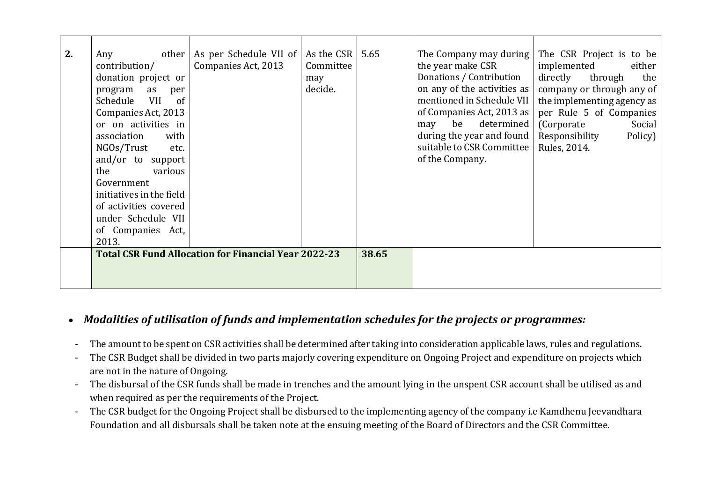| 2. | other<br>Any                                                | As per Schedule VII of   As the CSR |           | 5.65  | The Company may during      | The CSR Project is to be   |
|----|-------------------------------------------------------------|-------------------------------------|-----------|-------|-----------------------------|----------------------------|
|    | contribution/                                               | Companies Act, 2013                 | Committee |       | the year make CSR           | implemented<br>either      |
|    | donation project or                                         |                                     | may       |       | Donations / Contribution    | directly<br>through<br>the |
|    | as<br>program<br>per                                        |                                     | decide.   |       | on any of the activities as | company or through any of  |
|    | <b>VII</b><br>Schedule<br>of                                |                                     |           |       | mentioned in Schedule VII   | the implementing agency as |
|    | Companies Act, 2013                                         |                                     |           |       | of Companies Act, 2013 as   | per Rule 5 of Companies    |
|    | or on activities in                                         |                                     |           |       | determined<br>be<br>may     | (Corporate)<br>Social      |
|    | with<br>association                                         |                                     |           |       | during the year and found   | Responsibility<br>Policy)  |
|    | NGOs/Trust<br>etc.                                          |                                     |           |       | suitable to CSR Committee   | Rules, 2014.               |
|    | and/or to support                                           |                                     |           |       | of the Company.             |                            |
|    | the<br>various                                              |                                     |           |       |                             |                            |
|    | Government                                                  |                                     |           |       |                             |                            |
|    | initiatives in the field                                    |                                     |           |       |                             |                            |
|    | of activities covered                                       |                                     |           |       |                             |                            |
|    | under Schedule VII                                          |                                     |           |       |                             |                            |
|    | of Companies Act,                                           |                                     |           |       |                             |                            |
|    | 2013.                                                       |                                     |           |       |                             |                            |
|    | <b>Total CSR Fund Allocation for Financial Year 2022-23</b> |                                     |           | 38.65 |                             |                            |
|    |                                                             |                                     |           |       |                             |                            |
|    |                                                             |                                     |           |       |                             |                            |
|    |                                                             |                                     |           |       |                             |                            |

## *Modalities of utilisation of funds and implementation schedules for the projects or programmes:*

- The amount to be spent on CSR activities shall be determined after taking into consideration applicable laws, rules and regulations.
- The CSR Budget shall be divided in two parts majorly covering expenditure on Ongoing Project and expenditure on projects which are not in the nature of Ongoing.
- The disbursal of the CSR funds shall be made in trenches and the amount lying in the unspent CSR account shall be utilised as and when required as per the requirements of the Project.
- The CSR budget for the Ongoing Project shall be disbursed to the implementing agency of the company i.e Kamdhenu Jeevandhara Foundation and all disbursals shall be taken note at the ensuing meeting of the Board of Directors and the CSR Committee.